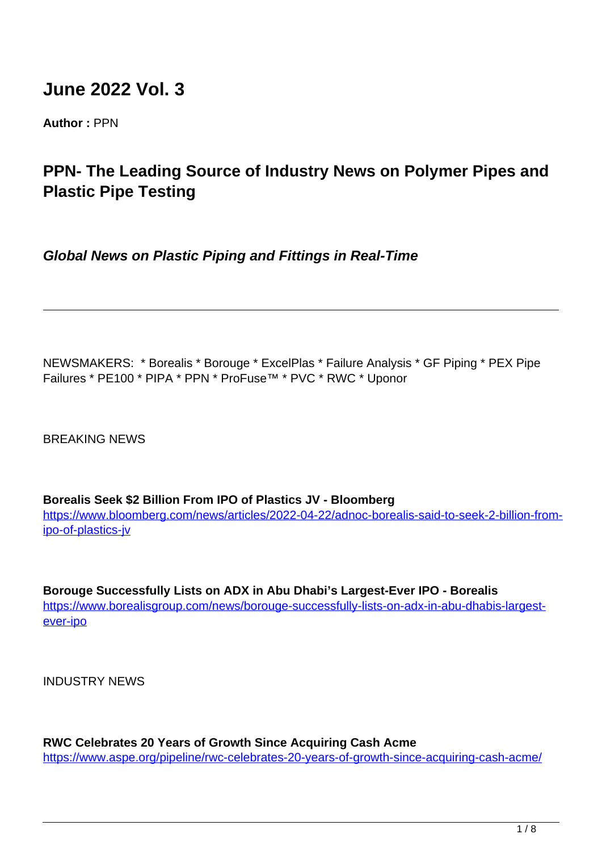# **June 2022 Vol. 3**

**Author :** PPN

## **PPN- The Leading Source of Industry News on Polymer Pipes and Plastic Pipe Testing**

**Global News on Plastic Piping and Fittings in Real-Time**

NEWSMAKERS: \* Borealis \* Borouge \* ExcelPlas \* Failure Analysis \* GF Piping \* PEX Pipe Failures \* PE100 \* PIPA \* PPN \* ProFuse™ \* PVC \* RWC \* Uponor

BREAKING NEWS

**Borealis Seek \$2 Billion From IPO of Plastics JV - Bloomberg**

[https://www.bloomberg.com/news/articles/2022-04-22/adnoc-borealis-said-to-seek-2-billion-from](https://www.bloomberg.com/news/articles/2022-04-22/adnoc-borealis-said-to-seek-2-billion-from-ipo-of-plastics-jv)[ipo-of-plastics-jv](https://www.bloomberg.com/news/articles/2022-04-22/adnoc-borealis-said-to-seek-2-billion-from-ipo-of-plastics-jv)

**Borouge Successfully Lists on ADX in Abu Dhabi's Largest-Ever IPO - Borealis** https://www.borealisgroup.com/news/borouge-successfully-lists-on-adx-in-abu-dhabis-largestever-ipo

INDUSTRY NEWS

**RWC Celebrates 20 Years of Growth Since Acquiring Cash Acme** https://www.aspe.org/pipeline/rwc-celebrates-20-years-of-growth-since-acquiring-cash-acme/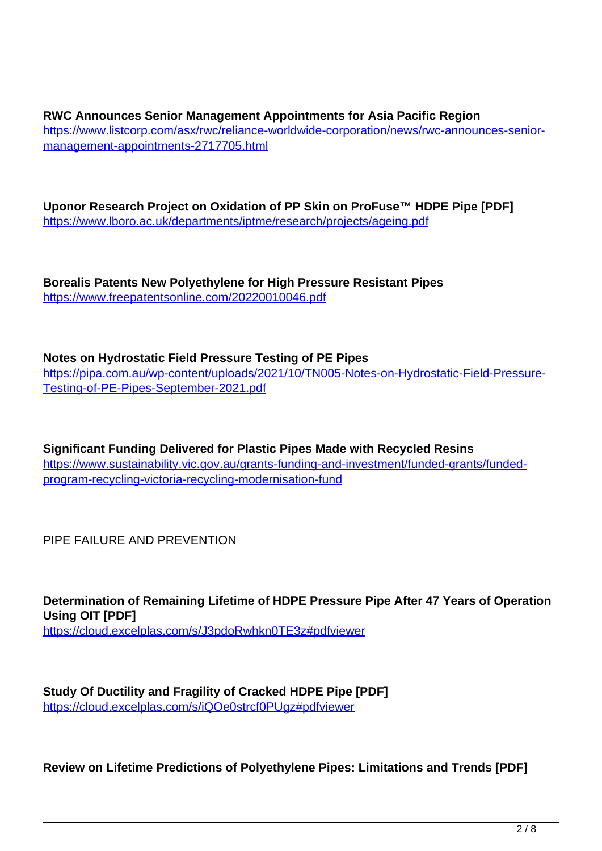**RWC Announces Senior Management Appointments for Asia Pacific Region** https://www.listcorp.com/asx/rwc/reliance-worldwide-corporation/news/rwc-announces-seniormanagement-appointments-2717705.html

**Uponor Research Project on Oxidation of PP Skin on ProFuse™ HDPE Pipe [PDF]** https://www.lboro.ac.uk/departments/iptme/research/projects/ageing.pdf

**Borealis Patents New Polyethylene for High Pressure Resistant Pipes** https://www.freepatentsonline.com/20220010046.pdf

**Notes on Hydrostatic Field Pressure Testing of PE Pipes**

https://pipa.com.au/wp-content/uploads/2021/10/TN005-Notes-on-Hydrostatic-Field-Pressure-Testing-of-PE-Pipes-September-2021.pdf

**Significant Funding Delivered for Plastic Pipes Made with Recycled Resins** https://www.sustainability.vic.gov.au/grants-funding-and-investment/funded-grants/fundedprogram-recycling-victoria-recycling-modernisation-fund

PIPE FAILURE AND PREVENTION

**Determination of Remaining Lifetime of HDPE Pressure Pipe After 47 Years of Operation Using OIT [PDF]** https://cloud.excelplas.com/s/J3pdoRwhkn0TE3z#pdfviewer

**Study Of Ductility and Fragility of Cracked HDPE Pipe [PDF]** https://cloud.excelplas.com/s/iQOe0strcf0PUgz#pdfviewer

**Review on Lifetime Predictions of Polyethylene Pipes: Limitations and Trends [PDF]**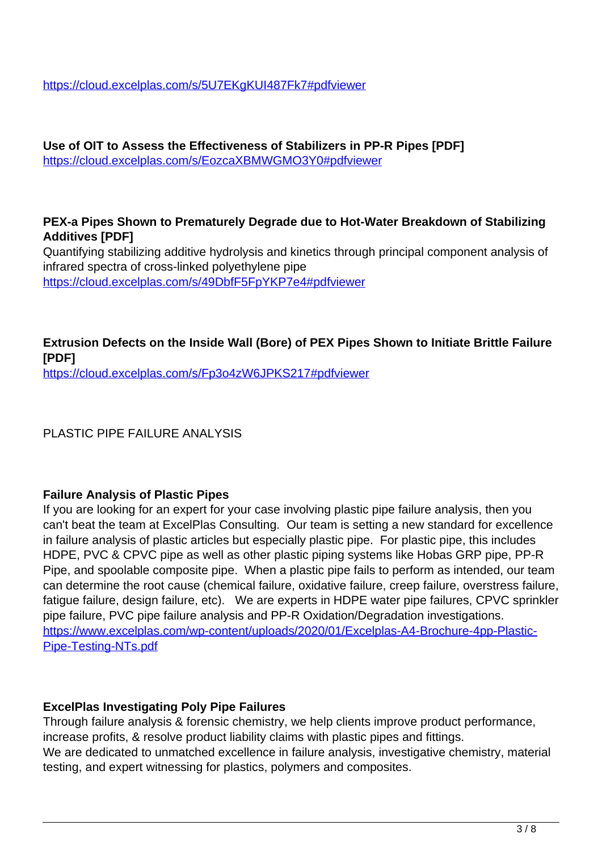https://cloud.excelplas.com/s/5U7EKgKUI487Fk7#pdfviewer

**Use of OIT to Assess the Effectiveness of Stabilizers in PP-R Pipes [PDF]** https://cloud.excelplas.com/s/EozcaXBMWGMO3Y0#pdfviewer

#### **PEX-a Pipes Shown to Prematurely Degrade due to Hot-Water Breakdown of Stabilizing Additives [PDF]**

Quantifying stabilizing additive hydrolysis and kinetics through principal component analysis of infrared spectra of cross-linked polyethylene pipe https://cloud.excelplas.com/s/49DbfF5FpYKP7e4#pdfviewer

#### **Extrusion Defects on the Inside Wall (Bore) of PEX Pipes Shown to Initiate Brittle Failure [PDF]** https://cloud.excelplas.com/s/Fp3o4zW6JPKS217#pdfviewer

PLASTIC PIPE FAILURE ANALYSIS

#### **Failure Analysis of Plastic Pipes**

If you are looking for an expert for your case involving plastic pipe failure analysis, then you can't beat the team at ExcelPlas Consulting. Our team is setting a new standard for excellence in failure analysis of plastic articles but especially plastic pipe. For plastic pipe, this includes HDPE, PVC & CPVC pipe as well as other plastic piping systems like Hobas GRP pipe, PP-R Pipe, and spoolable composite pipe. When a plastic pipe fails to perform as intended, our team can determine the root cause (chemical failure, oxidative failure, creep failure, overstress failure, fatigue failure, design failure, etc). We are experts in HDPE water pipe failures, CPVC sprinkler pipe failure, PVC pipe failure analysis and PP-R Oxidation/Degradation investigations. https://www.excelplas.com/wp-content/uploads/2020/01/Excelplas-A4-Brochure-4pp-Plastic-Pipe-Testing-NTs.pdf

#### **ExcelPlas Investigating Poly Pipe Failures**

Through failure analysis & forensic chemistry, we help clients improve product performance, increase profits, & resolve product liability claims with plastic pipes and fittings. We are dedicated to unmatched excellence in failure analysis, investigative chemistry, material testing, and expert witnessing for plastics, polymers and composites.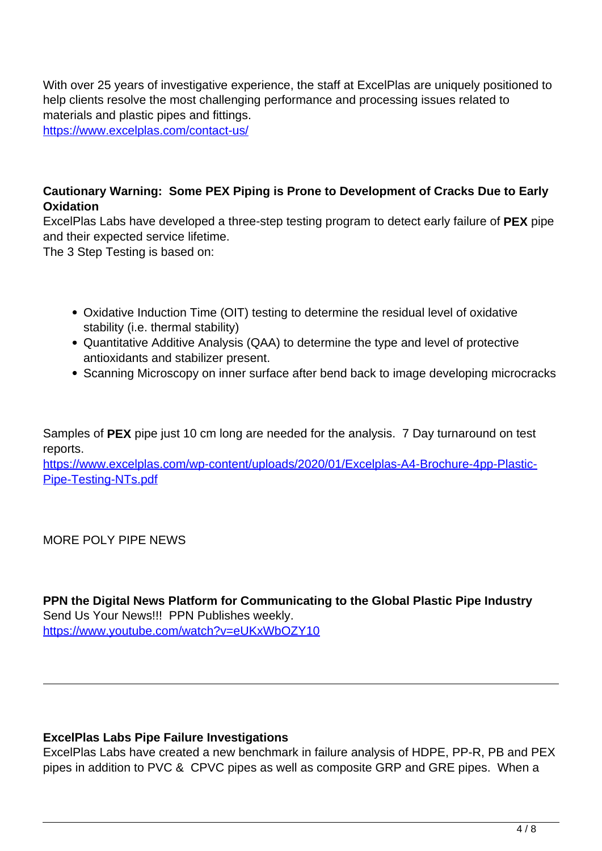With over 25 years of investigative experience, the staff at ExcelPlas are uniquely positioned to help clients resolve the most challenging performance and processing issues related to materials and plastic pipes and fittings.

https://www.excelplas.com/contact-us/

#### **Cautionary Warning: Some PEX Piping is Prone to Development of Cracks Due to Early Oxidation**

ExcelPlas Labs have developed a three-step testing program to detect early failure of **PEX** pipe and their expected service lifetime.

The 3 Step Testing is based on:

- Oxidative Induction Time (OIT) testing to determine the residual level of oxidative stability (i.e. thermal stability)
- Quantitative Additive Analysis (QAA) to determine the type and level of protective antioxidants and stabilizer present.
- Scanning Microscopy on inner surface after bend back to image developing microcracks

Samples of **PEX** pipe just 10 cm long are needed for the analysis. 7 Day turnaround on test reports.

https://www.excelplas.com/wp-content/uploads/2020/01/Excelplas-A4-Brochure-4pp-Plastic-Pipe-Testing-NTs.pdf

MORE POLY PIPE NEWS

**PPN the Digital News Platform for Communicating to the Global Plastic Pipe Industry** Send Us Your News!!! PPN Publishes weekly. https://www.youtube.com/watch?v=eUKxWbOZY10

#### **ExcelPlas Labs Pipe Failure Investigations**

ExcelPlas Labs have created a new benchmark in failure analysis of HDPE, PP-R, PB and PEX pipes in addition to PVC & CPVC pipes as well as composite GRP and GRE pipes. When a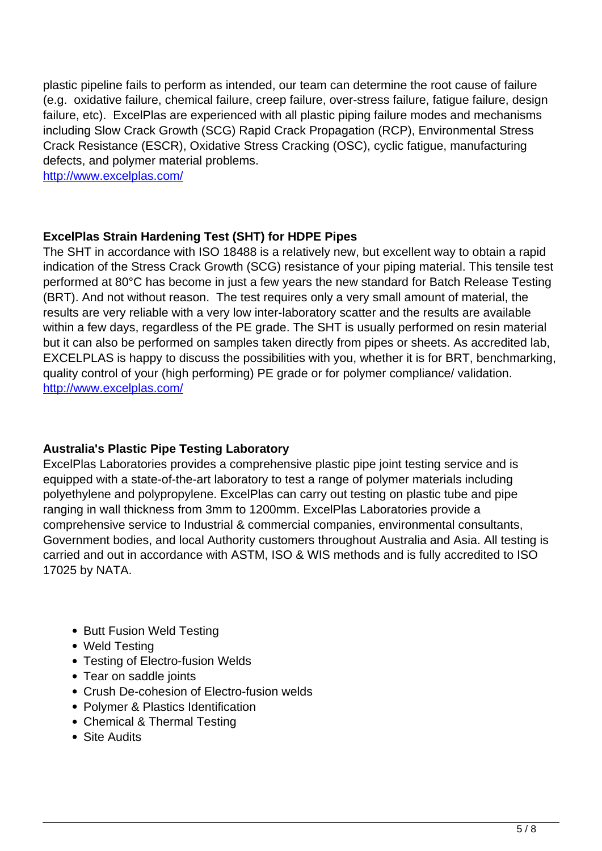plastic pipeline fails to perform as intended, our team can determine the root cause of failure (e.g. oxidative failure, chemical failure, creep failure, over-stress failure, fatigue failure, design failure, etc). ExcelPlas are experienced with all plastic piping failure modes and mechanisms including Slow Crack Growth (SCG) Rapid Crack Propagation (RCP), Environmental Stress Crack Resistance (ESCR), Oxidative Stress Cracking (OSC), cyclic fatigue, manufacturing defects, and polymer material problems.

http://www.excelplas.com/

#### **ExcelPlas Strain Hardening Test (SHT) for HDPE Pipes**

The SHT in accordance with ISO 18488 is a relatively new, but excellent way to obtain a rapid indication of the Stress Crack Growth (SCG) resistance of your piping material. This tensile test performed at 80°C has become in just a few years the new standard for Batch Release Testing (BRT). And not without reason. The test requires only a very small amount of material, the results are very reliable with a very low inter-laboratory scatter and the results are available within a few days, regardless of the PE grade. The SHT is usually performed on resin material but it can also be performed on samples taken directly from pipes or sheets. As accredited lab, EXCELPLAS is happy to discuss the possibilities with you, whether it is for BRT, benchmarking, quality control of your (high performing) PE grade or for polymer compliance/ validation. http://www.excelplas.com/

#### **Australia's Plastic Pipe Testing Laboratory**

ExcelPlas Laboratories provides a comprehensive plastic pipe joint testing service and is equipped with a state-of-the-art laboratory to test a range of polymer materials including polyethylene and polypropylene. ExcelPlas can carry out testing on plastic tube and pipe ranging in wall thickness from 3mm to 1200mm. ExcelPlas Laboratories provide a comprehensive service to Industrial & commercial companies, environmental consultants, Government bodies, and local Authority customers throughout Australia and Asia. All testing is carried and out in accordance with ASTM, ISO & WIS methods and is fully accredited to ISO 17025 by NATA.

- Butt Fusion Weld Testing
- Weld Testing
- Testing of Electro-fusion Welds
- Tear on saddle joints
- Crush De-cohesion of Electro-fusion welds
- Polymer & Plastics Identification
- Chemical & Thermal Testing
- Site Audits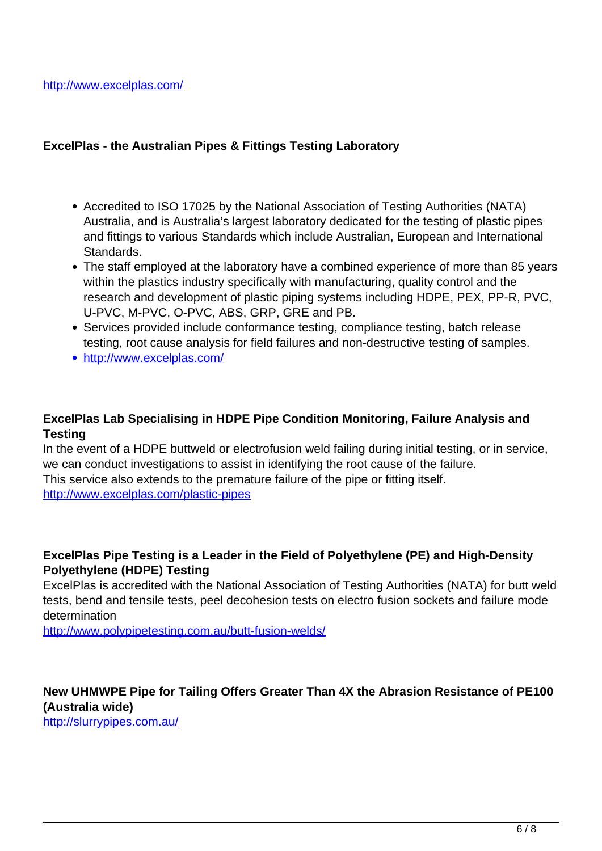#### **ExcelPlas - the Australian Pipes & Fittings Testing Laboratory**

- Accredited to ISO 17025 by the National Association of Testing Authorities (NATA) Australia, and is Australia's largest laboratory dedicated for the testing of plastic pipes and fittings to various Standards which include Australian, European and International Standards.
- The staff employed at the laboratory have a combined experience of more than 85 years within the plastics industry specifically with manufacturing, quality control and the research and development of plastic piping systems including HDPE, PEX, PP-R, PVC, U-PVC, M-PVC, O-PVC, ABS, GRP, GRE and PB.
- Services provided include conformance testing, compliance testing, batch release testing, root cause analysis for field failures and non-destructive testing of samples.
- http://www.excelplas.com/

#### **ExcelPlas Lab Specialising in HDPE Pipe Condition Monitoring, Failure Analysis and Testing**

In the event of a HDPE buttweld or electrofusion weld failing during initial testing, or in service, we can conduct investigations to assist in identifying the root cause of the failure. This service also extends to the premature failure of the pipe or fitting itself. http://www.excelplas.com/plastic-pipes

#### **ExcelPlas Pipe Testing is a Leader in the Field of Polyethylene (PE) and High-Density Polyethylene (HDPE) Testing**

ExcelPlas is accredited with the National Association of Testing Authorities (NATA) for butt weld tests, bend and tensile tests, peel decohesion tests on electro fusion sockets and failure mode determination

http://www.polypipetesting.com.au/butt-fusion-welds/

### **New UHMWPE Pipe for Tailing Offers Greater Than 4X the Abrasion Resistance of PE100 (Australia wide)**

http://slurrypipes.com.au/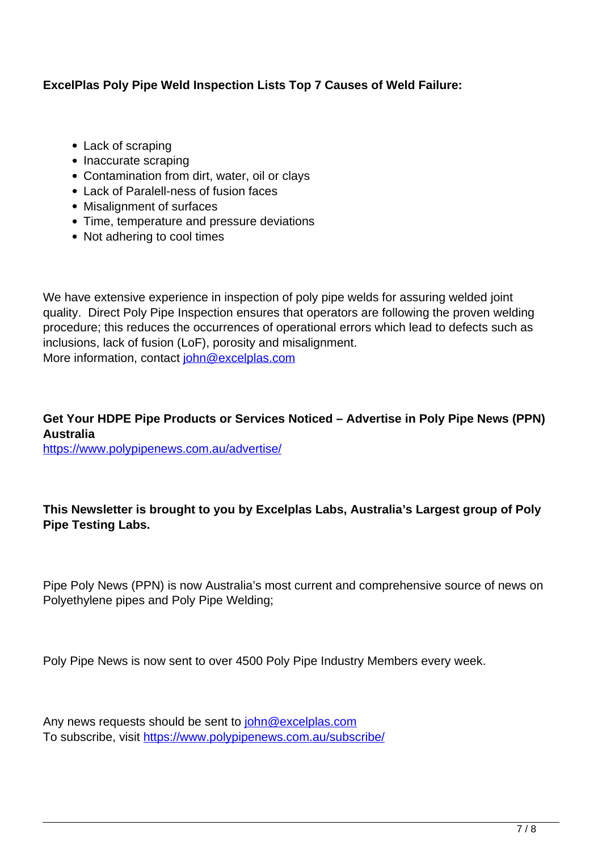#### **ExcelPlas Poly Pipe Weld Inspection Lists Top 7 Causes of Weld Failure:**

- Lack of scraping
- Inaccurate scraping
- Contamination from dirt, water, oil or clays
- Lack of Paralell-ness of fusion faces
- Misalignment of surfaces
- Time, temperature and pressure deviations
- Not adhering to cool times

We have extensive experience in inspection of poly pipe welds for assuring welded joint quality. Direct Poly Pipe Inspection ensures that operators are following the proven welding procedure; this reduces the occurrences of operational errors which lead to defects such as inclusions, lack of fusion (LoF), porosity and misalignment. More information, contact john@excelplas.com

#### **Get Your HDPE Pipe Products or Services Noticed – Advertise in Poly Pipe News (PPN) Australia**

https://www.polypipenews.com.au/advertise/

#### **This Newsletter is brought to you by Excelplas Labs, Australia's Largest group of Poly Pipe Testing Labs.**

Pipe Poly News (PPN) is now Australia's most current and comprehensive source of news on Polyethylene pipes and Poly Pipe Welding;

Poly Pipe News is now sent to over 4500 Poly Pipe Industry Members every week.

Any news requests should be sent to john@excelplas.com To subscribe, visit https://www.polypipenews.com.au/subscribe/